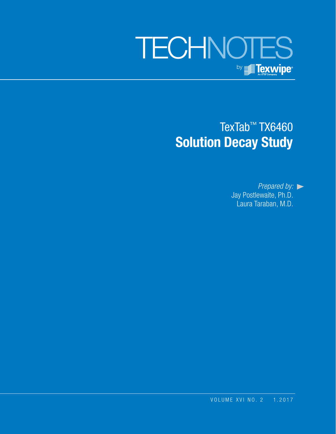# **TECHNOTES** by **Fexwipe**

## TexTab™ TX6460 **Solution Decay Study**

*Prepared by:* Jay Postlewaite, Ph.D. Laura Taraban, M.D.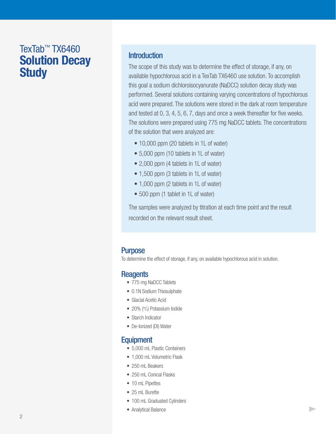### TexTab™ TX6460 **Solution Decay Study**

#### **Introduction**

The scope of this study was to determine the effect of storage, if any, on available hypochlorous acid in a TexTab TX6460 use solution. To accomplish this goal a sodium dichloroisocyanurate (NaDCC) solution decay study was performed. Several solutions containing varying concentrations of hypochlorous acid were prepared. The solutions were stored in the dark at room temperature and tested at 0, 3, 4, 5, 6, 7, days and once a week thereafter for five weeks. The solutions were prepared using 775 mg NaDCC tablets. The concentrations of the solution that were analyzed are:

- 10,000 ppm (20 tablets in 1L of water)
- 5,000 ppm (10 tablets in 1L of water)
- 2,000 ppm (4 tablets in 1L of water)
- 1,500 ppm (3 tablets in 1L of water)
- 1,000 ppm (2 tablets in 1L of water)
- 500 ppm (1 tablet in 1L of water)

The samples were analyzed by titration at each time point and the result recorded on the relevant result sheet.

 $\blacktriangleright$ 

#### **Purpose**

To determine the effect of storage, if any, on available hypochlorous acid in solution.

#### **Reagents**

- 775 mg NaDCC Tablets
- 0.1N Sodium Thiosulphate
- Glacial Acetic Acid
- 20% (<sup>w</sup>/v) Potassium lodide
- Starch Indicator
- De-Ionized (DI) Water

#### Equipment

- 5,000 mL Plastic Containers
- 1,000 mL Volumetric Flask
- 250 mL Beakers
- 250 mL Conical Flasks
- 10 mL Pipettes
- 25 mL Burette
- 100 mL Graduated Cylinders
- Analytical Balance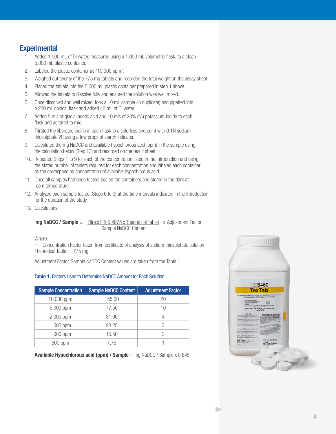### **Experimental**

- 1. Added 1,000 mL of DI water, measured using a 1,000 mL volumetric flask, to a clean 5,000 mL plastic container.
- 2. Labeled the plastic container as "10,000 ppm".
- 3. Weighed out twenty of the 775 mg tablets and recorded the total weight on the assay sheet.
- 4. Placed the tablets into the 5,000 mL plastic container prepared in step 1 above.
- 5. Allowed the tablets to dissolve fully and ensured the solution was well mixed.
- 6. Once dissolved and well mixed, took a 10 mL sample (in duplicate) and pipetted into a 250 mL conical flask and added 40 mL of DI water.
- 7. Added 5 mls of glacial acetic acid and 10 mls of 20% ("/v) potassium iodide to each flask and agitated to mix.
- 8. Titrated the liberated iodine in each flask to a colorless end point with 0.1N sodium thiosulphate VS using a few drops of starch indicator.
- 9. Calculated the mg NaDCC and available hypochlorous acid (ppm) in the sample using the calculation below (Step 13) and recorded on the result sheet.
- 10. Repeated Steps 1 to 9 for each of the concentration listed in the introduction and using the stated number of tablets required for each concentration and labeled each container as the corresponding concentration of available hypochlorous acid.
- 11. Once all samples had been tested, sealed the containers and stored in the dark at room temperature.
- 12. Analyzed each sample (as per Steps 6 to 9) at the time intervals indicated in the Introduction for the duration of the study.
- 13. Calculations:

**mg NaDCC / Sample =** Titre x F X 5.4975 x Theoretical Tablet x Adjustment Factor Sample NaDCC Content

Where:

 $F =$  Concentration Factor taken from certificate of analysis of sodium thiosulphate solution Theoretical Tablet  $= 775$  mg

Adjustment Factor, Sample NaDCC Content values are taken from the Table 1.

#### **Table 1.** Factors Used to Determine NaDCC Amount for Each Solution

| <b>Sample Concentration</b> | <b>Sample NaDCC Content</b> | <b>Adjustment Factor</b> |
|-----------------------------|-----------------------------|--------------------------|
| 10,000 ppm                  | 155.00                      | 20                       |
| 5,000 ppm                   | 77.50                       | 10                       |
| 2,000 ppm                   | 31.00                       |                          |
| 1,500 ppm                   | 23.25                       | 3                        |
| $1,000$ ppm                 | 15.50                       | 2                        |
| 500 ppm                     | 7.75                        |                          |

**Available Hypochlorous acid (ppm) / Sample** = mg NaDCC / Sample x 0.645

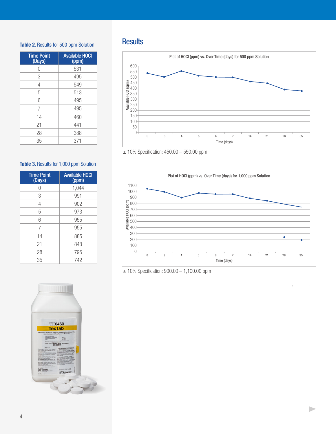### Results **Table 2.** Results for 500 ppm Solution

| <b>Time Point</b><br>(Days) | <b>Available HOCI</b><br>(ppm) |
|-----------------------------|--------------------------------|
|                             | 531                            |
| 3                           | 495                            |
| 4                           | 549                            |
| 5                           | 513                            |
| 6                           | 495                            |
| 7                           | 495                            |
| 14                          | 460                            |
| 21                          | 441                            |
| 28                          | 388                            |
| 35                          | 371                            |

#### Table 3. Results for 1,000 ppm Solution

| <b>Time Point</b><br>(Days) | <b>Available HOCI</b><br>(ppm) |
|-----------------------------|--------------------------------|
| Λ                           | 1,044                          |
| 3                           | 991                            |
| 4                           | 902                            |
| 5                           | 973                            |
| 6                           | 955                            |
| 7                           | 955                            |
| 14                          | 885                            |
| 21                          | 848                            |
| 28                          | 795                            |
| 35                          | 742                            |





<sup>± 10%</sup> Specification: 450.00 – 550.00 ppm



 $\blacktriangleright$ 

<sup>± 10%</sup> Specification: 900.00 – 1,100.00 ppm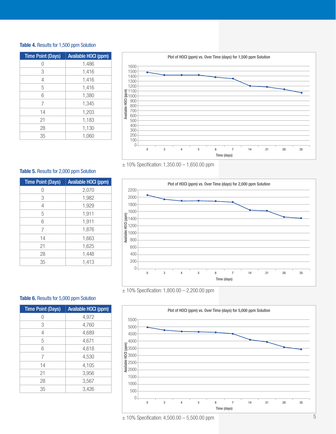#### **Table 4.** Results for 1,500 ppm Solution

| <b>Time Point (Days)</b> | <b>Available HOCI (ppm)</b> |  |
|--------------------------|-----------------------------|--|
| $\left( \right)$         | 1,486                       |  |
| 3                        | 1,416                       |  |
| 4                        | 1,416                       |  |
| 5                        | 1,416                       |  |
| 6                        | 1,380                       |  |
| 7                        | 1,345                       |  |
| 14                       | 1,203                       |  |
| 21                       | 1,183                       |  |
| 28                       | 1,130                       |  |
| 35                       | 1.060                       |  |



 $± 10\%$  Specification: 1,350.00  $- 1,650.00$  ppm

#### **Table 5. Results for 2,000 ppm Solution**

| <b>Time Point (Days)</b> | Available HOCI (ppm) |
|--------------------------|----------------------|
|                          | 2,070                |
| 3                        | 1,982                |
| $\overline{4}$           | 1,929                |
| 5                        | 1,911                |
| 6                        | 1,911                |
| 7                        | 1,876                |
| 14                       | 1,663                |
| 21                       | 1,625                |
| 28                       | 1,448                |
| 35                       | 1,413                |



 $± 10\%$  Specification: 1,800.00  $- 2,200.00$  ppm

#### Table 6. Results for 5,000 ppm Solution

| <b>Time Point (Days)</b> | <b>Available HOCI (ppm)</b> |
|--------------------------|-----------------------------|
| 0                        | 4,972                       |
| 3                        | 4,760                       |
| $\overline{4}$           | 4,689                       |
| 5                        | 4,671                       |
| 6                        | 4,618                       |
| 7                        | 4,530                       |
| 14                       | 4,105                       |
| 21                       | 3,956                       |
| 28                       | 3,567                       |
| 35                       | 3,426                       |



 $± 10\%$  Specification: 4,500.00  $- 5,500.00$  ppm